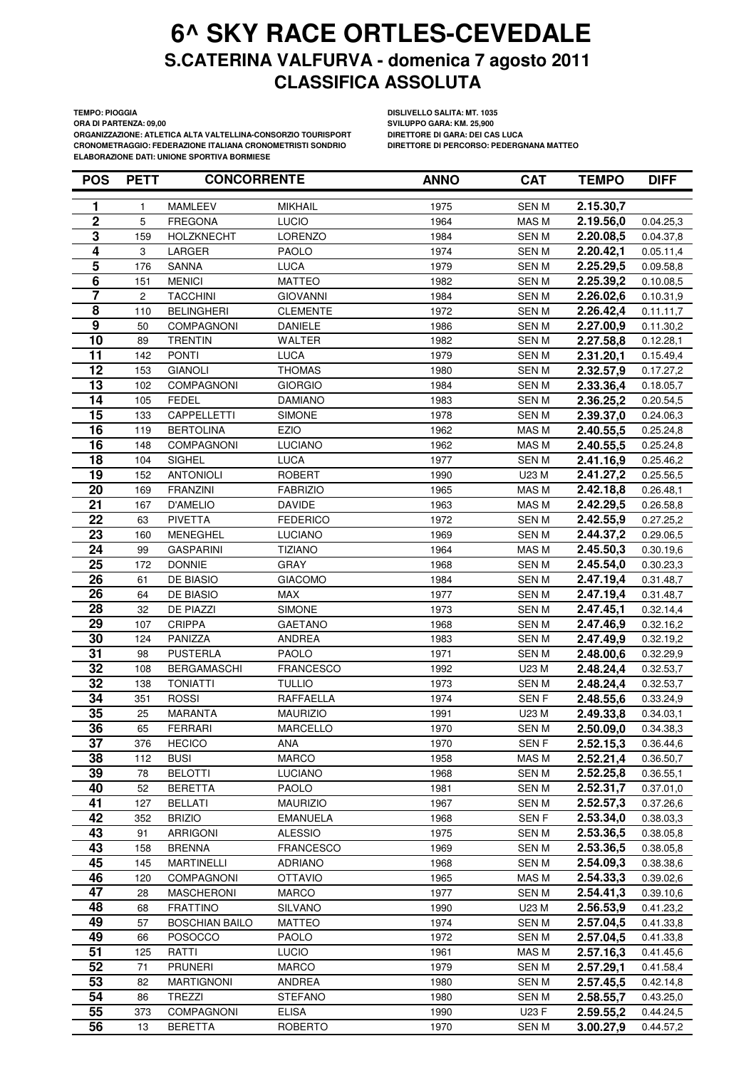**ORA DI PARTENZA: 09,00 SVILUPPO GARA: KM. 25,900 ORGANIZZAZIONE: ATLETICA ALTA VALTELLINA-CONSORZIO TOURISPORT DIRETTORE DI GARA: DEI CAS LUCA CRONOMETRAGGIO: FEDERAZIONE ITALIANA CRONOMETRISTI SONDRIO ELABORAZIONE DATI: UNIONE SPORTIVA BORMIESE**

**TEMPO: PIOGGIA DISLIVELLO SALITA: MT. 1035**

| <b>POS</b>              | <b>PETT</b> | <b>CONCORRENTE</b>    |                  | <b>ANNO</b> | <b>CAT</b>       | <b>TEMPO</b>          | <b>DIFF</b> |
|-------------------------|-------------|-----------------------|------------------|-------------|------------------|-----------------------|-------------|
| 1                       | 1           | <b>MAMLEEV</b>        | <b>MIKHAIL</b>   | 1975        | <b>SENM</b>      | 2.15.30,7             |             |
| $\mathbf 2$             | 5           | <b>FREGONA</b>        | LUCIO            | 1964        | MAS M            | 2.19.56,0             | 0.04.25,3   |
| $\overline{\mathbf{3}}$ | 159         | <b>HOLZKNECHT</b>     | <b>LORENZO</b>   | 1984        | <b>SENM</b>      | 2.20.08,5             | 0.04.37,8   |
| 4                       | 3           | LARGER                | <b>PAOLO</b>     | 1974        | <b>SENM</b>      | 2.20.42,1             | 0.05.11,4   |
| $\overline{\mathbf{5}}$ | 176         | <b>SANNA</b>          | LUCA             | 1979        | <b>SENM</b>      | 2.25.29,5             | 0.09.58,8   |
| $\overline{6}$          | 151         | <b>MENICI</b>         | <b>MATTEO</b>    | 1982        | SEN M            | 2.25.39,2             | 0.10.08,5   |
| 7                       | 2           | <b>TACCHINI</b>       | <b>GIOVANNI</b>  | 1984        | <b>SENM</b>      | 2.26.02,6             | 0.10.31,9   |
| $\overline{\mathbf{8}}$ | 110         | <b>BELINGHERI</b>     | <b>CLEMENTE</b>  | 1972        | <b>SENM</b>      | 2.26.42,4             | 0.11.11,7   |
| $\boldsymbol{9}$        | 50          | COMPAGNONI            | <b>DANIELE</b>   | 1986        | <b>SENM</b>      | 2.27.00,9             | 0.11.30,2   |
| 10                      | 89          | <b>TRENTIN</b>        | <b>WALTER</b>    | 1982        | <b>SENM</b>      | 2.27.58,8             | 0.12.28,1   |
| 11                      | 142         | <b>PONTI</b>          | LUCA             | 1979        | <b>SENM</b>      | 2.31.20,1             | 0.15.49,4   |
| 12                      | 153         | <b>GIANOLI</b>        | <b>THOMAS</b>    | 1980        | <b>SENM</b>      | 2.32.57,9             | 0.17.27,2   |
| 13                      | 102         | COMPAGNONI            | <b>GIORGIO</b>   | 1984        | <b>SENM</b>      | 2.33.36,4             | 0.18.05,7   |
| 14                      | 105         | <b>FEDEL</b>          | <b>DAMIANO</b>   | 1983        | <b>SENM</b>      | 2.36.25,2             | 0.20.54,5   |
| 15                      | 133         | CAPPELLETTI           | <b>SIMONE</b>    | 1978        | <b>SENM</b>      | 2.39.37,0             | 0.24.06,3   |
| $\overline{16}$         | 119         | <b>BERTOLINA</b>      | <b>EZIO</b>      | 1962        | MAS M            | 2.40.55,5             | 0.25.24,8   |
| 16                      | 148         | <b>COMPAGNONI</b>     | <b>LUCIANO</b>   | 1962        | MAS M            | 2.40.55,5             | 0.25.24,8   |
| 18                      | 104         | <b>SIGHEL</b>         | LUCA             | 1977        | <b>SENM</b>      | 2.41.16,9             | 0.25.46,2   |
| 19                      | 152         | <b>ANTONIOLI</b>      | <b>ROBERT</b>    | 1990        | U23 M            | 2.41.27,2             | 0.25.56,5   |
| 20                      | 169         | <b>FRANZINI</b>       | <b>FABRIZIO</b>  | 1965        | MAS M            | 2.42.18,8             | 0.26.48,1   |
| 21                      | 167         | <b>D'AMELIO</b>       | <b>DAVIDE</b>    | 1963        | MAS M            | 2.42.29,5             | 0.26.58,8   |
| 22                      | 63          | <b>PIVETTA</b>        | <b>FEDERICO</b>  | 1972        | <b>SENM</b>      | 2.42.55,9             | 0.27.25,2   |
| 23                      | 160         | <b>MENEGHEL</b>       | <b>LUCIANO</b>   | 1969        | <b>SENM</b>      | 2.44.37,2             | 0.29.06,5   |
| 24                      | 99          | <b>GASPARINI</b>      | <b>TIZIANO</b>   | 1964        | MAS M            | 2.45.50,3             | 0.30.19,6   |
| 25                      | 172         | <b>DONNIE</b>         | <b>GRAY</b>      | 1968        | <b>SENM</b>      | 2.45.54,0             | 0.30.23,3   |
| 26                      | 61          | DE BIASIO             | <b>GIACOMO</b>   | 1984        | <b>SENM</b>      | 2.47.19,4             | 0.31.48,7   |
| 26                      | 64          | DE BIASIO             | <b>MAX</b>       | 1977        | <b>SENM</b>      | 2.47.19,4             | 0.31.48,7   |
| 28                      | 32          | DE PIAZZI             | <b>SIMONE</b>    | 1973        | <b>SENM</b>      | 2.47.45,1             | 0.32.14,4   |
| 29                      | 107         | <b>CRIPPA</b>         | <b>GAETANO</b>   | 1968        | <b>SENM</b>      | 2.47.46,9             | 0.32.16,2   |
| 30                      | 124         | PANIZZA               | ANDREA           | 1983        | <b>SENM</b>      | 2.47.49,9             | 0.32.19,2   |
| 31                      | 98          | <b>PUSTERLA</b>       | <b>PAOLO</b>     | 1971        | SEN M            | 2.48.00,6             | 0.32.29,9   |
| 32                      | 108         | <b>BERGAMASCHI</b>    | <b>FRANCESCO</b> | 1992        | U23 M            | 2.48.24,4             | 0.32.53,7   |
| 32                      | 138         | <b>TONIATTI</b>       | <b>TULLIO</b>    | 1973        | <b>SENM</b>      | 2.48.24,4             | 0.32.53,7   |
| 34                      | 351         | <b>ROSSI</b>          | RAFFAELLA        | 1974        | SEN <sub>F</sub> | 2.48.55,6             | 0.33.24,9   |
| 35                      | 25          | <b>MARANTA</b>        | <b>MAURIZIO</b>  | 1991        | U23 M            | 2.49.33,8             | 0.34.03,1   |
| 36                      | 65          | <b>FERRARI</b>        | <b>MARCELLO</b>  | 1970        | <b>SENM</b>      | 2.50.09,0             | 0.34.38,3   |
| $\overline{37}$         | 376         | <b>HECICO</b>         | ANA              | 1970        | SEN F            | $2.52.15,3$ 0.36.44,6 |             |
| 38                      | 112         | <b>BUSI</b>           | <b>MARCO</b>     | 1958        | MAS M            | 2.52.21,4             | 0.36.50,7   |
| 39                      | 78          | <b>BELOTTI</b>        | <b>LUCIANO</b>   | 1968        | <b>SENM</b>      | 2.52.25,8             | 0.36.55,1   |
| 40                      | 52          | <b>BERETTA</b>        | <b>PAOLO</b>     | 1981        | <b>SENM</b>      | 2.52.31,7             | 0.37.01,0   |
| 41                      | 127         | <b>BELLATI</b>        | <b>MAURIZIO</b>  | 1967        | SEN M            | 2.52.57,3             | 0.37.26,6   |
| 42                      | 352         | <b>BRIZIO</b>         | <b>EMANUELA</b>  | 1968        | SEN F            | 2.53.34,0             | 0.38.03,3   |
| 43                      | 91          | <b>ARRIGONI</b>       | <b>ALESSIO</b>   | 1975        | <b>SENM</b>      | 2.53.36,5             | 0.38.05,8   |
| 43                      | 158         | <b>BRENNA</b>         | <b>FRANCESCO</b> | 1969        | SEN M            | 2.53.36,5             | 0.38.05,8   |
| 45                      | 145         | <b>MARTINELLI</b>     | ADRIANO          | 1968        | <b>SENM</b>      | 2.54.09,3             | 0.38.38,6   |
| 46                      | 120         | <b>COMPAGNONI</b>     | <b>OTTAVIO</b>   | 1965        | MAS M            | 2.54.33,3             | 0.39.02,6   |
| 47                      | 28          | <b>MASCHERONI</b>     | <b>MARCO</b>     | 1977        | <b>SENM</b>      | 2.54.41,3             | 0.39.10,6   |
| 48                      | 68          | <b>FRATTINO</b>       | <b>SILVANO</b>   | 1990        | U23 M            | 2.56.53,9             | 0.41.23,2   |
| 49                      | 57          | <b>BOSCHIAN BAILO</b> | <b>MATTEO</b>    | 1974        | <b>SENM</b>      | 2.57.04,5             | 0.41.33,8   |
| 49                      | 66          | <b>POSOCCO</b>        | <b>PAOLO</b>     | 1972        | <b>SENM</b>      | 2.57.04,5             | 0.41.33,8   |
| 51                      | 125         | RATTI                 | <b>LUCIO</b>     | 1961        | MAS M            | 2.57.16,3             | 0.41.45,6   |
| 52                      | 71          | PRUNERI               | <b>MARCO</b>     | 1979        | <b>SENM</b>      | 2.57.29,1             | 0.41.58,4   |
| 53                      | 82          | <b>MARTIGNONI</b>     | <b>ANDREA</b>    | 1980        | <b>SENM</b>      | 2.57.45,5             | 0.42.14,8   |
| 54                      | 86          | <b>TREZZI</b>         | <b>STEFANO</b>   | 1980        | <b>SENM</b>      | 2.58.55,7             | 0.43.25,0   |
| 55                      | 373         | <b>COMPAGNONI</b>     | <b>ELISA</b>     | 1990        | U23 F            | 2.59.55,2             | 0.44.24,5   |
| 56                      | 13          | <b>BERETTA</b>        | <b>ROBERTO</b>   | 1970        | SEN M            | 3.00.27,9             | 0.44.57,2   |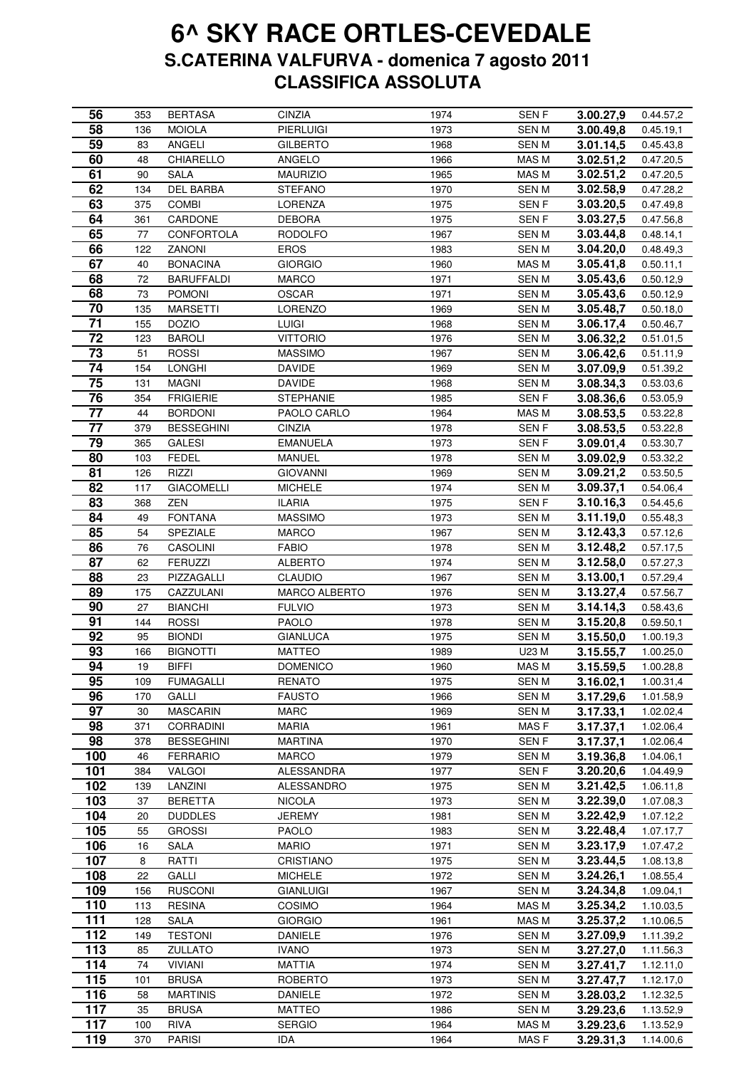| 56              | 353 | <b>BERTASA</b>    | <b>CINZIA</b>    | 1974 | SEN <sub>F</sub> | 3.00.27,9 | 0.44.57,2 |
|-----------------|-----|-------------------|------------------|------|------------------|-----------|-----------|
| 58              | 136 | <b>MOIOLA</b>     | <b>PIERLUIGI</b> | 1973 | <b>SENM</b>      | 3.00.49,8 | 0.45.19,1 |
| 59              | 83  | <b>ANGELI</b>     | <b>GILBERTO</b>  | 1968 | <b>SENM</b>      | 3.01.14,5 | 0.45.43,8 |
| 60              | 48  | CHIARELLO         | ANGELO           | 1966 | MAS M            | 3.02.51,2 | 0.47.20,5 |
| 61              | 90  | <b>SALA</b>       | <b>MAURIZIO</b>  | 1965 | MAS M            | 3.02.51,2 | 0.47.20,5 |
| 62              | 134 | <b>DEL BARBA</b>  | <b>STEFANO</b>   | 1970 | <b>SENM</b>      | 3.02.58,9 | 0.47.28,2 |
| 63              | 375 | <b>COMBI</b>      | <b>LORENZA</b>   | 1975 | SEN F            | 3.03.20,5 | 0.47.49,8 |
| 64              | 361 | CARDONE           | <b>DEBORA</b>    | 1975 | SEN F            | 3.03.27,5 | 0.47.56,8 |
| 65              | 77  | CONFORTOLA        | <b>RODOLFO</b>   | 1967 | <b>SENM</b>      | 3.03.44,8 | 0.48.14,1 |
| 66              | 122 | <b>ZANONI</b>     | <b>EROS</b>      | 1983 | <b>SENM</b>      | 3.04.20,0 | 0.48.49,3 |
| 67              | 40  | <b>BONACINA</b>   | <b>GIORGIO</b>   | 1960 | MAS M            | 3.05.41,8 | 0.50.11,1 |
| 68              | 72  | <b>BARUFFALDI</b> | <b>MARCO</b>     | 1971 | <b>SENM</b>      | 3.05.43,6 | 0.50.12,9 |
| 68              | 73  | <b>POMONI</b>     | OSCAR            | 1971 | <b>SENM</b>      | 3.05.43,6 | 0.50.12,9 |
| 70              | 135 | <b>MARSETTI</b>   | LORENZO          | 1969 | SEN M            | 3.05.48,7 | 0.50.18,0 |
| $\overline{71}$ | 155 | <b>DOZIO</b>      | LUIGI            | 1968 | SEN M            | 3.06.17,4 | 0.50.46,7 |
| $\overline{72}$ | 123 | <b>BAROLI</b>     | <b>VITTORIO</b>  | 1976 | <b>SENM</b>      | 3.06.32,2 | 0.51.01,5 |
| 73              | 51  | <b>ROSSI</b>      | MASSIMO          | 1967 | SEN M            | 3.06.42,6 | 0.51.11,9 |
| $\overline{74}$ | 154 | <b>LONGHI</b>     | <b>DAVIDE</b>    | 1969 | <b>SENM</b>      | 3.07.09,9 | 0.51.39,2 |
| 75              | 131 | <b>MAGNI</b>      | <b>DAVIDE</b>    | 1968 | <b>SENM</b>      | 3.08.34,3 | 0.53.03,6 |
| 76              | 354 | <b>FRIGIERIE</b>  | <b>STEPHANIE</b> | 1985 | SEN F            | 3.08.36,6 | 0.53.05,9 |
| 77              | 44  | <b>BORDONI</b>    | PAOLO CARLO      | 1964 | MAS M            | 3.08.53,5 | 0.53.22,8 |
| 77              | 379 | <b>BESSEGHINI</b> | <b>CINZIA</b>    | 1978 | SEN F            | 3.08.53,5 | 0.53.22,8 |
| 79              | 365 | <b>GALESI</b>     | <b>EMANUELA</b>  | 1973 | SEN F            | 3.09.01,4 | 0.53.30,7 |
| 80              | 103 | <b>FEDEL</b>      | <b>MANUEL</b>    | 1978 | <b>SENM</b>      | 3.09.02,9 | 0.53.32,2 |
| 81              | 126 | RIZZI             | <b>GIOVANNI</b>  | 1969 | <b>SENM</b>      | 3.09.21,2 | 0.53.50,5 |
| 82              | 117 | <b>GIACOMELLI</b> | <b>MICHELE</b>   | 1974 | <b>SENM</b>      | 3.09.37,1 | 0.54.06,4 |
| 83              | 368 | ZEN               | <b>ILARIA</b>    | 1975 | SEN F            | 3.10.16,3 | 0.54.45,6 |
| 84              | 49  | <b>FONTANA</b>    | <b>MASSIMO</b>   | 1973 | <b>SENM</b>      | 3.11.19,0 | 0.55.48,3 |
| 85              | 54  | SPEZIALE          | <b>MARCO</b>     | 1967 | <b>SENM</b>      | 3.12.43,3 | 0.57.12,6 |
| 86              | 76  | CASOLINI          | <b>FABIO</b>     | 1978 | <b>SENM</b>      | 3.12.48,2 | 0.57.17,5 |
| $8\overline{7}$ | 62  | <b>FERUZZI</b>    | <b>ALBERTO</b>   | 1974 | <b>SENM</b>      | 3.12.58,0 | 0.57.27,3 |
| 88              | 23  | PIZZAGALLI        | <b>CLAUDIO</b>   | 1967 | <b>SENM</b>      | 3.13.00,1 | 0.57.29,4 |
| 89              | 175 | CAZZULANI         | MARCO ALBERTO    | 1976 | <b>SENM</b>      | 3.13.27,4 | 0.57.56,7 |
| 90              | 27  | <b>BIANCHI</b>    | <b>FULVIO</b>    | 1973 | <b>SENM</b>      | 3.14.14,3 | 0.58.43,6 |
| 91              | 144 | <b>ROSSI</b>      | <b>PAOLO</b>     | 1978 | <b>SENM</b>      | 3.15.20,8 | 0.59.50,1 |
| 92              | 95  | <b>BIONDI</b>     | <b>GIANLUCA</b>  | 1975 | <b>SENM</b>      | 3.15.50,0 | 1.00.19,3 |
| 93              | 166 | <b>BIGNOTTI</b>   | <b>MATTEO</b>    | 1989 | U23 M            | 3.15.55,7 | 1.00.25,0 |
| 94              | 19  | BIFFI             | <b>DOMENICO</b>  | 1960 | MAS M            | 3.15.59,5 | 1.00.28,8 |
| 95              | 109 | <b>FUMAGALLI</b>  | <b>RENATO</b>    | 1975 | SEN M            | 3.16.02,1 | 1.00.31,4 |
| 96              | 170 | GALLI             | <b>FAUSTO</b>    | 1966 | <b>SENM</b>      | 3.17.29,6 | 1.01.58,9 |
| 97              | 30  | <b>MASCARIN</b>   | <b>MARC</b>      | 1969 | <b>SENM</b>      | 3.17.33,1 | 1.02.02,4 |
| 98              | 371 | <b>CORRADINI</b>  | MARIA            | 1961 | MAS F            | 3.17.37,1 | 1.02.06,4 |
| 98              | 378 | <b>BESSEGHINI</b> | <b>MARTINA</b>   | 1970 | SEN F            | 3.17.37,1 | 1.02.06,4 |
| 100             | 46  | <b>FERRARIO</b>   | <b>MARCO</b>     | 1979 | <b>SENM</b>      | 3.19.36,8 | 1.04.06,1 |
| 101             | 384 | <b>VALGOI</b>     | ALESSANDRA       | 1977 | SEN F            | 3.20.20,6 | 1.04.49,9 |
| 102             | 139 | LANZINI           | ALESSANDRO       | 1975 | <b>SENM</b>      | 3.21.42,5 | 1.06.11,8 |
| 103             | 37  | <b>BERETTA</b>    | <b>NICOLA</b>    | 1973 | <b>SENM</b>      | 3.22.39,0 | 1.07.08,3 |
| 104             | 20  | <b>DUDDLES</b>    | JEREMY           | 1981 | <b>SENM</b>      | 3.22.42,9 | 1.07.12,2 |
| 105             | 55  | <b>GROSSI</b>     | <b>PAOLO</b>     | 1983 | <b>SENM</b>      | 3.22.48,4 | 1.07.17,7 |
| 106             | 16  | <b>SALA</b>       | <b>MARIO</b>     | 1971 | SEN M            | 3.23.17,9 | 1.07.47,2 |
| 107             | 8   | RATTI             | CRISTIANO        | 1975 | <b>SENM</b>      | 3.23.44,5 | 1.08.13,8 |
| 108             | 22  | GALLI             | <b>MICHELE</b>   | 1972 | SEN M            | 3.24.26,1 | 1.08.55,4 |
| 109             | 156 | <b>RUSCONI</b>    | <b>GIANLUIGI</b> | 1967 | SEN M            | 3.24.34,8 | 1.09.04,1 |
| 110             | 113 | <b>RESINA</b>     | COSIMO           | 1964 | MAS M            | 3.25.34,2 | 1.10.03,5 |
| 111             | 128 | <b>SALA</b>       | <b>GIORGIO</b>   | 1961 | MAS M            | 3.25.37,2 | 1.10.06,5 |
| 112             | 149 | <b>TESTONI</b>    | <b>DANIELE</b>   | 1976 | <b>SENM</b>      | 3.27.09,9 | 1.11.39,2 |
| 113             | 85  | <b>ZULLATO</b>    | <b>IVANO</b>     | 1973 | <b>SENM</b>      | 3.27.27,0 | 1.11.56,3 |
| 114             | 74  | <b>VIVIANI</b>    | <b>MATTIA</b>    | 1974 | <b>SENM</b>      | 3.27.41,7 | 1.12.11,0 |
| 115             | 101 | <b>BRUSA</b>      | <b>ROBERTO</b>   | 1973 | <b>SENM</b>      | 3.27.47,7 | 1.12.17,0 |
| 116             | 58  | <b>MARTINIS</b>   | <b>DANIELE</b>   | 1972 | <b>SENM</b>      | 3.28.03,2 | 1.12.32,5 |
| 117             | 35  | <b>BRUSA</b>      | <b>MATTEO</b>    | 1986 | <b>SENM</b>      | 3.29.23,6 | 1.13.52,9 |
| 117             | 100 | <b>RIVA</b>       | <b>SERGIO</b>    | 1964 | MAS M            | 3.29.23,6 | 1.13.52,9 |
| 119             | 370 | <b>PARISI</b>     | IDA              | 1964 | MAS F            | 3.29.31,3 | 1.14.00,6 |
|                 |     |                   |                  |      |                  |           |           |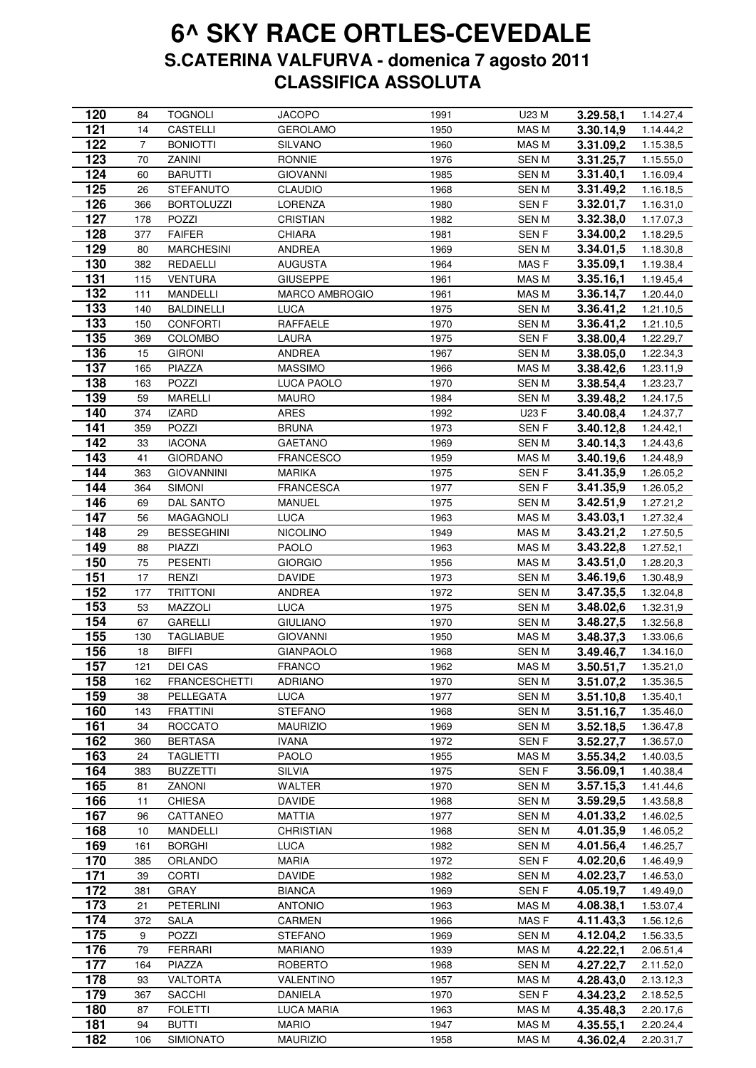| 120              | 84             | <b>TOGNOLI</b>       | <b>JACOPO</b>         | 1991 | U23 M            | 3.29.58,1 | 1.14.27,4 |
|------------------|----------------|----------------------|-----------------------|------|------------------|-----------|-----------|
| 121              | 14             | CASTELLI             | <b>GEROLAMO</b>       | 1950 | MAS M            | 3.30.14,9 | 1.14.44,2 |
| 122              | $\overline{7}$ | <b>BONIOTTI</b>      | <b>SILVANO</b>        | 1960 | MAS M            | 3.31.09,2 | 1.15.38,5 |
| 123              | 70             | ZANINI               | <b>RONNIE</b>         | 1976 | <b>SENM</b>      | 3.31.25,7 | 1.15.55,0 |
| 124              | 60             | <b>BARUTTI</b>       | <b>GIOVANNI</b>       | 1985 | <b>SENM</b>      | 3.31.40,1 | 1.16.09,4 |
| 125              | 26             | <b>STEFANUTO</b>     | <b>CLAUDIO</b>        | 1968 | <b>SENM</b>      | 3.31.49,2 | 1.16.18,5 |
| 126              | 366            | <b>BORTOLUZZI</b>    | LORENZA               | 1980 | SEN <sub>F</sub> | 3.32.01,7 | 1.16.31,0 |
| 127              | 178            | POZZI                | CRISTIAN              | 1982 | SEN M            | 3.32.38,0 | 1.17.07,3 |
| 128              | 377            | <b>FAIFER</b>        | CHIARA                | 1981 | SEN F            | 3.34.00,2 | 1.18.29,5 |
| 129              | 80             | <b>MARCHESINI</b>    | ANDREA                | 1969 | <b>SENM</b>      | 3.34.01,5 | 1.18.30,8 |
| 130              | 382            | REDAELLI             | AUGUSTA               | 1964 | MAS <sub>F</sub> | 3.35.09.1 | 1.19.38,4 |
| 131              |                | <b>VENTURA</b>       |                       |      |                  | 3.35.16,1 |           |
|                  | 115            |                      | <b>GIUSEPPE</b>       | 1961 | MAS M            |           | 1.19.45,4 |
| 132              | 111            | MANDELLI             | <b>MARCO AMBROGIO</b> | 1961 | MAS M            | 3.36.14,7 | 1.20.44,0 |
| 133              | 140            | <b>BALDINELLI</b>    | LUCA                  | 1975 | <b>SENM</b>      | 3.36.41,2 | 1.21.10,5 |
| $\overline{133}$ | 150            | <b>CONFORTI</b>      | RAFFAELE              | 1970 | <b>SENM</b>      | 3.36.41,2 | 1.21.10,5 |
| 135              | 369            | <b>COLOMBO</b>       | LAURA                 | 1975 | SEN <sub>F</sub> | 3.38.00,4 | 1.22.29,7 |
| 136              | 15             | <b>GIRONI</b>        | <b>ANDREA</b>         | 1967 | <b>SENM</b>      | 3.38.05,0 | 1.22.34,3 |
| 137              | 165            | <b>PIAZZA</b>        | <b>MASSIMO</b>        | 1966 | MAS M            | 3.38.42,6 | 1.23.11,9 |
| 138              | 163            | POZZI                | LUCA PAOLO            | 1970 | <b>SENM</b>      | 3.38.54,4 | 1.23.23,7 |
| 139              | 59             | MARELLI              | <b>MAURO</b>          | 1984 | SEN M            | 3.39.48,2 | 1.24.17,5 |
| 140              | 374            | <b>IZARD</b>         | <b>ARES</b>           | 1992 | U23 F            | 3.40.08,4 | 1.24.37,7 |
| 141              | 359            | <b>POZZI</b>         | <b>BRUNA</b>          | 1973 | SEN F            | 3.40.12,8 | 1.24.42,1 |
| 142              | 33             | <b>IACONA</b>        | <b>GAETANO</b>        | 1969 | SEN M            | 3.40.14,3 | 1.24.43,6 |
| 143              | 41             | <b>GIORDANO</b>      | <b>FRANCESCO</b>      | 1959 | MAS M            | 3.40.19,6 | 1.24.48,9 |
| 144              | 363            | <b>GIOVANNINI</b>    | <b>MARIKA</b>         | 1975 | <b>SENF</b>      | 3.41.35,9 | 1.26.05,2 |
| 144              | 364            | <b>SIMONI</b>        | <b>FRANCESCA</b>      | 1977 | SEN F            | 3.41.35,9 | 1.26.05,2 |
| 146              | 69             | DAL SANTO            | MANUEL                | 1975 | <b>SENM</b>      | 3.42.51,9 | 1.27.21,2 |
| 147              | 56             | MAGAGNOLI            | <b>LUCA</b>           | 1963 | MAS M            | 3.43.03,1 | 1.27.32,4 |
| 148              | 29             | <b>BESSEGHINI</b>    | <b>NICOLINO</b>       | 1949 | MAS M            |           |           |
|                  |                |                      |                       |      |                  | 3.43.21,2 | 1.27.50,5 |
| 149              | 88             | PIAZZI               | <b>PAOLO</b>          | 1963 | MAS M            | 3.43.22,8 | 1.27.52,1 |
| 150              | 75             | <b>PESENTI</b>       | <b>GIORGIO</b>        | 1956 | MAS M            | 3.43.51,0 | 1.28.20,3 |
| 151              | 17             | <b>RENZI</b>         | <b>DAVIDE</b>         | 1973 | <b>SENM</b>      | 3.46.19,6 | 1.30.48,9 |
| 152              | 177            | <b>TRITTONI</b>      | <b>ANDREA</b>         | 1972 | <b>SENM</b>      | 3.47.35,5 | 1.32.04,8 |
| 153              | 53             | MAZZOLI              | <b>LUCA</b>           | 1975 | <b>SENM</b>      | 3.48.02,6 | 1.32.31,9 |
| 154              | 67             | GARELLI              | <b>GIULIANO</b>       | 1970 | SEN M            | 3.48.27,5 | 1.32.56,8 |
| 155              | 130            | <b>TAGLIABUE</b>     | <b>GIOVANNI</b>       | 1950 | MAS M            | 3.48.37,3 | 1.33.06,6 |
| 156              | 18             | <b>BIFFI</b>         | <b>GIANPAOLO</b>      | 1968 | SEN M            | 3.49.46,7 | 1.34.16,0 |
| 157              | 121            | DEI CAS              | <b>FRANCO</b>         | 1962 | MAS M            | 3.50.51,7 | 1.35.21,0 |
| 158              | 162            | <b>FRANCESCHETTI</b> | <b>ADRIANO</b>        | 1970 | <b>SENM</b>      | 3.51.07,2 | 1.35.36,5 |
| 159              | 38             | PELLEGATA            | <b>LUCA</b>           | 1977 | <b>SENM</b>      | 3.51.10,8 | 1.35.40,1 |
| 160              | 143            | <b>FRATTINI</b>      | <b>STEFANO</b>        | 1968 | <b>SENM</b>      | 3.51.16,7 | 1.35.46,0 |
| 161              | 34             | <b>ROCCATO</b>       | <b>MAURIZIO</b>       | 1969 | <b>SENM</b>      | 3.52.18,5 | 1.36.47,8 |
| 162              | 360            | <b>BERTASA</b>       | <b>IVANA</b>          | 1972 | <b>SENF</b>      | 3.52.27,7 | 1.36.57,0 |
| 163              | 24             | <b>TAGLIETTI</b>     | <b>PAOLO</b>          | 1955 | MAS M            | 3.55.34,2 | 1.40.03,5 |
| 164              | 383            | BUZZETTI             | <b>SILVIA</b>         | 1975 | SEN <sub>F</sub> | 3.56.09,1 | 1.40.38,4 |
| 165              | 81             | ZANONI               | WALTER                | 1970 | <b>SEN M</b>     | 3.57.15,3 | 1.41.44,6 |
| 166              | 11             | <b>CHIESA</b>        | <b>DAVIDE</b>         | 1968 | SEN M            | 3.59.29,5 | 1.43.58,8 |
| 167              | 96             | CATTANEO             | MATTIA                | 1977 | <b>SENM</b>      | 4.01.33,2 | 1.46.02,5 |
| 168              | 10             | <b>MANDELLI</b>      | CHRISTIAN             | 1968 | SEN M            | 4.01.35,9 | 1.46.05,2 |
|                  |                |                      |                       |      |                  |           |           |
| 169              | 161            | <b>BORGHI</b>        | LUCA                  | 1982 | SEN M            | 4.01.56,4 | 1.46.25,7 |
| 170              | 385            | ORLANDO              | <b>MARIA</b>          | 1972 | SEN F            | 4.02.20,6 | 1.46.49,9 |
| 171              | 39             | <b>CORTI</b>         | <b>DAVIDE</b>         | 1982 | <b>SENM</b>      | 4.02.23,7 | 1.46.53,0 |
| 172              | 381            | <b>GRAY</b>          | <b>BIANCA</b>         | 1969 | <b>SENF</b>      | 4.05.19,7 | 1.49.49,0 |
| 173              | 21             | <b>PETERLINI</b>     | <b>ANTONIO</b>        | 1963 | MAS M            | 4.08.38,1 | 1.53.07,4 |
| 174              | 372            | <b>SALA</b>          | <b>CARMEN</b>         | 1966 | MAS F            | 4.11.43,3 | 1.56.12,6 |
| 175              | 9              | POZZI                | <b>STEFANO</b>        | 1969 | <b>SENM</b>      | 4.12.04,2 | 1.56.33,5 |
| 176              | 79             | <b>FERRARI</b>       | <b>MARIANO</b>        | 1939 | MAS M            | 4.22.22,1 | 2.06.51,4 |
| 177              | 164            | PIAZZA               | <b>ROBERTO</b>        | 1968 | <b>SENM</b>      | 4.27.22,7 | 2.11.52,0 |
| 178              | 93             | <b>VALTORTA</b>      | VALENTINO             | 1957 | MAS M            | 4.28.43,0 | 2.13.12,3 |
| 179              | 367            | <b>SACCHI</b>        | <b>DANIELA</b>        | 1970 | SEN <sub>F</sub> | 4.34.23,2 | 2.18.52,5 |
| 180              | 87             | <b>FOLETTI</b>       | LUCA MARIA            | 1963 | MAS M            | 4.35.48,3 | 2.20.17,6 |
|                  |                |                      |                       |      |                  |           |           |
| 181              | 94             | BUTTI                | <b>MARIO</b>          | 1947 | MAS M            | 4.35.55,1 | 2.20.24,4 |